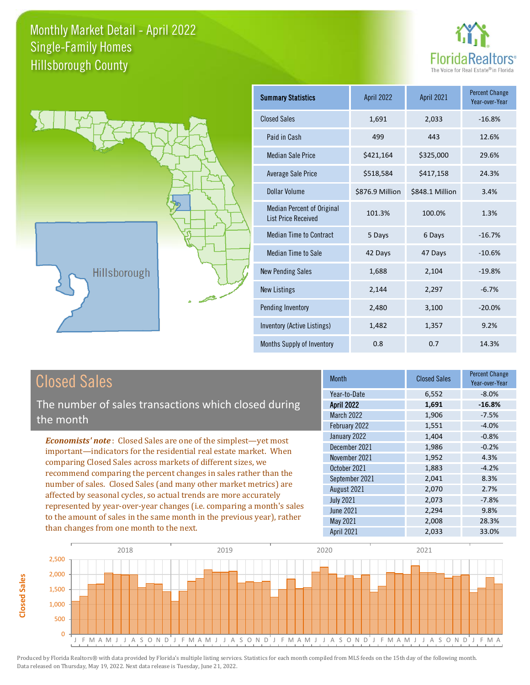

Year-over-Year

-10.6%



#### Closed Sales

**Closed Sales**

**Closed Sales** 

The number of sales transactions which closed during the month

*Economists' note* : Closed Sales are one of the simplest—yet most important—indicators for the residential real estate market. When comparing Closed Sales across markets of different sizes, we recommend comparing the percent changes in sales rather than the number of sales. Closed Sales (and many other market metrics) are affected by seasonal cycles, so actual trends are more accurately represented by year-over-year changes (i.e. comparing a month's sales to the amount of sales in the same month in the previous year), rather than changes from one month to the next.

| <b>Month</b>      | <b>Closed Sales</b> | <b>Percent Change</b><br>Year-over-Year |
|-------------------|---------------------|-----------------------------------------|
| Year-to-Date      | 6,552               | $-8.0%$                                 |
| <b>April 2022</b> | 1,691               | $-16.8%$                                |
| <b>March 2022</b> | 1,906               | $-7.5%$                                 |
| February 2022     | 1,551               | $-4.0%$                                 |
| January 2022      | 1,404               | $-0.8%$                                 |
| December 2021     | 1,986               | $-0.2%$                                 |
| November 2021     | 1,952               | 4.3%                                    |
| October 2021      | 1,883               | $-4.2%$                                 |
| September 2021    | 2,041               | 8.3%                                    |
| August 2021       | 2,070               | 2.7%                                    |
| <b>July 2021</b>  | 2,073               | $-7.8%$                                 |
| <b>June 2021</b>  | 2,294               | 9.8%                                    |
| May 2021          | 2,008               | 28.3%                                   |
| April 2021        | 2,033               | 33.0%                                   |

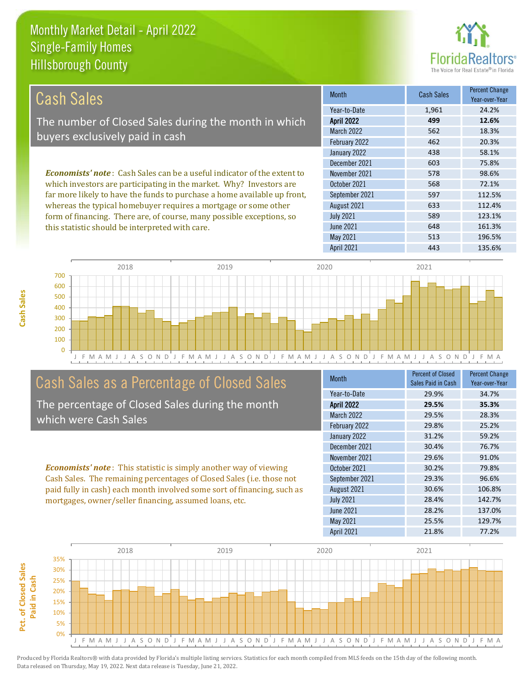this statistic should be interpreted with care.



648 161.3%

| Cash Sales                                                                     | <b>Month</b>      | Cash Sales | <b>Percent Change</b><br>Year-over-Year |
|--------------------------------------------------------------------------------|-------------------|------------|-----------------------------------------|
|                                                                                | Year-to-Date      | 1,961      | 24.2%                                   |
| The number of Closed Sales during the month in which                           | <b>April 2022</b> | 499        | 12.6%                                   |
| buyers exclusively paid in cash                                                | <b>March 2022</b> | 562        | 18.3%                                   |
|                                                                                | February 2022     | 462        | 20.3%                                   |
|                                                                                | January 2022      | 438        | 58.1%                                   |
|                                                                                | December 2021     | 603        | 75.8%                                   |
| <b>Economists' note:</b> Cash Sales can be a useful indicator of the extent to | November 2021     | 578        | 98.6%                                   |
| which investors are participating in the market. Why? Investors are            | October 2021      | 568        | 72.1%                                   |
| far more likely to have the funds to purchase a home available up front,       | September 2021    | 597        | 112.5%                                  |
| whereas the typical homebuyer requires a mortgage or some other                | August 2021       | 633        | 112.4%                                  |
| form of financing. There are, of course, many possible exceptions, so          | <b>July 2021</b>  | 589        | 123.1%                                  |



#### Cash Sales as a Percentage of Closed Sales

The percentage of Closed Sales during the month which were Cash Sales

*Economists' note* : This statistic is simply another way of viewing Cash Sales. The remaining percentages of Closed Sales (i.e. those not paid fully in cash) each month involved some sort of financing, such as mortgages, owner/seller financing, assumed loans, etc.

| Month             | Percent of Closed<br>Sales Paid in Cash | <b>Percent Change</b><br>Year-over-Year |
|-------------------|-----------------------------------------|-----------------------------------------|
| Year-to-Date      | 29.9%                                   | 34.7%                                   |
| <b>April 2022</b> | 29.5%                                   | 35.3%                                   |
| <b>March 2022</b> | 29.5%                                   | 28.3%                                   |
| February 2022     | 29.8%                                   | 25.2%                                   |
| January 2022      | 31.2%                                   | 59.2%                                   |
| December 2021     | 30.4%                                   | 76.7%                                   |
| November 2021     | 29.6%                                   | 91.0%                                   |
| October 2021      | 30.2%                                   | 79.8%                                   |
| September 2021    | 29.3%                                   | 96.6%                                   |
| August 2021       | 30.6%                                   | 106.8%                                  |
| <b>July 2021</b>  | 28.4%                                   | 142.7%                                  |
| June 2021         | 28.2%                                   | 137.0%                                  |
| <b>May 2021</b>   | 25.5%                                   | 129.7%                                  |
| <b>April 2021</b> | 21.8%                                   | 77.2%                                   |

May 2021 513 196.5%

June 2021

April 2021 **443** 135.6%

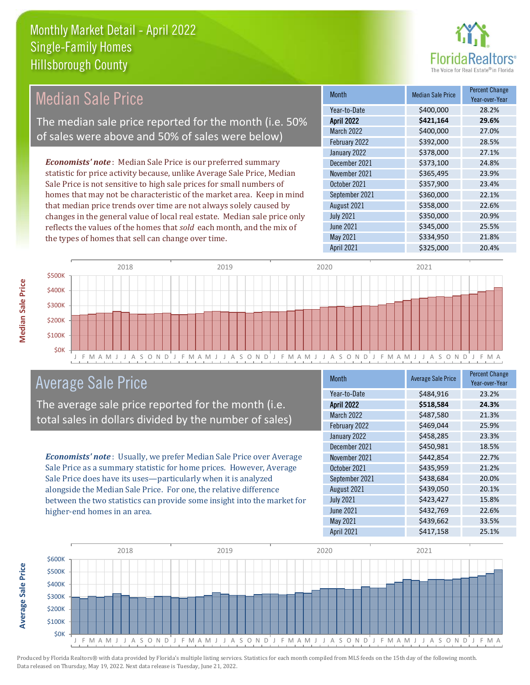

| <b>Median Sale Price</b>                                                  | <b>Month</b>      | <b>Median Sale Price</b> | <b>Percent Change</b><br>Year-over-Year |
|---------------------------------------------------------------------------|-------------------|--------------------------|-----------------------------------------|
|                                                                           | Year-to-Date      | \$400,000                | 28.2%                                   |
| The median sale price reported for the month (i.e. 50%                    | <b>April 2022</b> | \$421,164                | 29.6%                                   |
| of sales were above and 50% of sales were below)                          | March 2022        | \$400,000                | 27.0%                                   |
|                                                                           | February 2022     | \$392,000                | 28.5%                                   |
|                                                                           | January 2022      | \$378,000                | 27.1%                                   |
| <b>Economists' note:</b> Median Sale Price is our preferred summary       | December 2021     | \$373,100                | 24.8%                                   |
| statistic for price activity because, unlike Average Sale Price, Median   | November 2021     | \$365,495                | 23.9%                                   |
| Sale Price is not sensitive to high sale prices for small numbers of      | October 2021      | \$357,900                | 23.4%                                   |
| homes that may not be characteristic of the market area. Keep in mind     | September 2021    | \$360,000                | 22.1%                                   |
| that median price trends over time are not always solely caused by        | August 2021       | \$358,000                | 22.6%                                   |
| changes in the general value of local real estate. Median sale price only | <b>July 2021</b>  | \$350,000                | 20.9%                                   |
| reflects the values of the homes that sold each month, and the mix of     | June 2021         | \$345,000                | 25.5%                                   |
| the types of homes that sell can change over time.                        | May 2021          | \$334,950                | 21.8%                                   |
|                                                                           | April 2021        | \$325,000                | 20.4%                                   |
|                                                                           |                   |                          |                                         |



#### Average Sale Price

The average sale price reported for the month (i.e. total sales in dollars divided by the number of sales)

*Economists' note* : Usually, we prefer Median Sale Price over Average Sale Price as a summary statistic for home prices. However, Average Sale Price does have its uses—particularly when it is analyzed alongside the Median Sale Price. For one, the relative difference between the two statistics can provide some insight into the market for higher-end homes in an area.

| Month             | <b>Average Sale Price</b> | <b>Percent Change</b><br>Year-over-Year |
|-------------------|---------------------------|-----------------------------------------|
| Year-to-Date      | \$484,916                 | 23.2%                                   |
| <b>April 2022</b> | \$518,584                 | 24.3%                                   |
| <b>March 2022</b> | \$487,580                 | 21.3%                                   |
| February 2022     | \$469,044                 | 25.9%                                   |
| January 2022      | \$458,285                 | 23.3%                                   |
| December 2021     | \$450,981                 | 18.5%                                   |
| November 2021     | \$442,854                 | 22.7%                                   |
| October 2021      | \$435,959                 | 21.2%                                   |
| September 2021    | \$438,684                 | 20.0%                                   |
| August 2021       | \$439,050                 | 20.1%                                   |
| <b>July 2021</b>  | \$423,427                 | 15.8%                                   |
| <b>June 2021</b>  | \$432,769                 | 22.6%                                   |
| May 2021          | \$439,662                 | 33.5%                                   |
| April 2021        | \$417,158                 | 25.1%                                   |



Produced by Florida Realtors® with data provided by Florida's multiple listing services. Statistics for each month compiled from MLS feeds on the 15th day of the following month. Data released on Thursday, May 19, 2022. Next data release is Tuesday, June 21, 2022.

**Average Sale Price**

**Average Sale Price**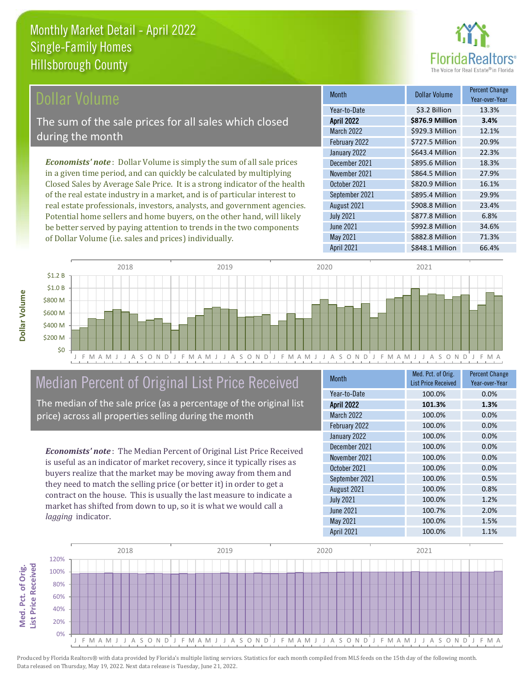

#### **Ollar Volume**

The sum of the sale prices for all sales which closed during the month

*Economists' note* : Dollar Volume is simply the sum of all sale prices in a given time period, and can quickly be calculated by multiplying Closed Sales by Average Sale Price. It is a strong indicator of the health of the real estate industry in a market, and is of particular interest to real estate professionals, investors, analysts, and government agencies. Potential home sellers and home buyers, on the other hand, will likely be better served by paying attention to trends in the two components of Dollar Volume (i.e. sales and prices) individually.

| Month             | Dollar Volume   | <b>Percent Change</b><br>Year-over-Year |
|-------------------|-----------------|-----------------------------------------|
| Year-to-Date      | \$3.2 Billion   | 13.3%                                   |
| <b>April 2022</b> | \$876.9 Million | 3.4%                                    |
| March 2022        | \$929.3 Million | 12.1%                                   |
| February 2022     | \$727.5 Million | 20.9%                                   |
| January 2022      | \$643.4 Million | 22.3%                                   |
| December 2021     | \$895.6 Million | 18.3%                                   |
| November 2021     | \$864.5 Million | 27.9%                                   |
| October 2021      | \$820.9 Million | 16.1%                                   |
| September 2021    | \$895.4 Million | 29.9%                                   |
| August 2021       | \$908.8 Million | 23.4%                                   |
| <b>July 2021</b>  | \$877.8 Million | 6.8%                                    |
| <b>June 2021</b>  | \$992.8 Million | 34.6%                                   |
| May 2021          | \$882.8 Million | 71.3%                                   |
| April 2021        | \$848.1 Million | 66.4%                                   |



#### Median Percent of Original List Price Received

The median of the sale price (as a percentage of the original list price) across all properties selling during the month

*Economists' note* : The Median Percent of Original List Price Received is useful as an indicator of market recovery, since it typically rises as buyers realize that the market may be moving away from them and they need to match the selling price (or better it) in order to get a contract on the house. This is usually the last measure to indicate a market has shifted from down to up, so it is what we would call a *lagging* indicator.

| <b>Month</b>      | Med. Pct. of Orig.<br><b>List Price Received</b> | <b>Percent Change</b><br>Year-over-Year |
|-------------------|--------------------------------------------------|-----------------------------------------|
| Year-to-Date      | 100.0%                                           | 0.0%                                    |
| <b>April 2022</b> | 101.3%                                           | 1.3%                                    |
| March 2022        | 100.0%                                           | 0.0%                                    |
| February 2022     | 100.0%                                           | 0.0%                                    |
| January 2022      | 100.0%                                           | 0.0%                                    |
| December 2021     | 100.0%                                           | 0.0%                                    |
| November 2021     | 100.0%                                           | 0.0%                                    |
| October 2021      | 100.0%                                           | 0.0%                                    |
| September 2021    | 100.0%                                           | 0.5%                                    |
| August 2021       | 100.0%                                           | 0.8%                                    |
| <b>July 2021</b>  | 100.0%                                           | 1.2%                                    |
| <b>June 2021</b>  | 100.7%                                           | 2.0%                                    |
| May 2021          | 100.0%                                           | 1.5%                                    |
| <b>April 2021</b> | 100.0%                                           | 1.1%                                    |

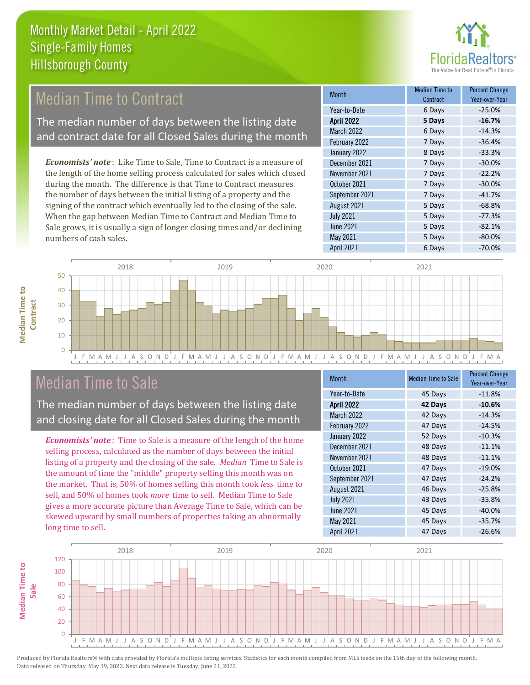

#### Median Time to Contract

The median number of days between the listing date and contract date for all Closed Sales during the month

*Economists' note* : Like Time to Sale, Time to Contract is a measure of the length of the home selling process calculated for sales which closed during the month. The difference is that Time to Contract measures the number of days between the initial listing of a property and the signing of the contract which eventually led to the closing of the sale. When the gap between Median Time to Contract and Median Time to Sale grows, it is usually a sign of longer closing times and/or declining numbers of cash sales.

| Month             | <b>Median Time to</b><br>Contract | <b>Percent Change</b><br>Year-over-Year |
|-------------------|-----------------------------------|-----------------------------------------|
| Year-to-Date      | 6 Days                            | $-25.0%$                                |
| <b>April 2022</b> | 5 Days                            | $-16.7%$                                |
| March 2022        | 6 Days                            | $-14.3%$                                |
| February 2022     | 7 Days                            | $-36.4%$                                |
| January 2022      | 8 Days                            | $-33.3%$                                |
| December 2021     | 7 Days                            | $-30.0%$                                |
| November 2021     | 7 Days                            | $-22.2%$                                |
| October 2021      | 7 Days                            | $-30.0%$                                |
| September 2021    | 7 Days                            | $-41.7%$                                |
| August 2021       | 5 Days                            | $-68.8%$                                |
| <b>July 2021</b>  | 5 Days                            | $-77.3%$                                |
| <b>June 2021</b>  | 5 Days                            | $-82.1%$                                |
| May 2021          | 5 Days                            | $-80.0%$                                |
| April 2021        | 6 Days                            | $-70.0%$                                |



#### Median Time to Sale

**Median Time to** 

**Median Time to** 

The median number of days between the listing date and closing date for all Closed Sales during the month

*Economists' note* : Time to Sale is a measure of the length of the home selling process, calculated as the number of days between the initial listing of a property and the closing of the sale. *Median* Time to Sale is the amount of time the "middle" property selling this month was on the market. That is, 50% of homes selling this month took *less* time to sell, and 50% of homes took *more* time to sell. Median Time to Sale gives a more accurate picture than Average Time to Sale, which can be skewed upward by small numbers of properties taking an abnormally long time to sell.

| <b>Month</b>      | <b>Median Time to Sale</b> | <b>Percent Change</b><br>Year-over-Year |
|-------------------|----------------------------|-----------------------------------------|
| Year-to-Date      | 45 Days                    | $-11.8%$                                |
| <b>April 2022</b> | 42 Days                    | $-10.6%$                                |
| <b>March 2022</b> | 42 Days                    | $-14.3%$                                |
| February 2022     | 47 Days                    | $-14.5%$                                |
| January 2022      | 52 Days                    | $-10.3%$                                |
| December 2021     | 48 Days                    | $-11.1%$                                |
| November 2021     | 48 Days                    | $-11.1%$                                |
| October 2021      | 47 Days                    | $-19.0%$                                |
| September 2021    | 47 Days                    | $-24.2%$                                |
| August 2021       | 46 Days                    | $-25.8%$                                |
| <b>July 2021</b>  | 43 Days                    | $-35.8%$                                |
| <b>June 2021</b>  | 45 Days                    | $-40.0%$                                |
| May 2021          | 45 Days                    | $-35.7%$                                |
| <b>April 2021</b> | 47 Days                    | $-26.6%$                                |

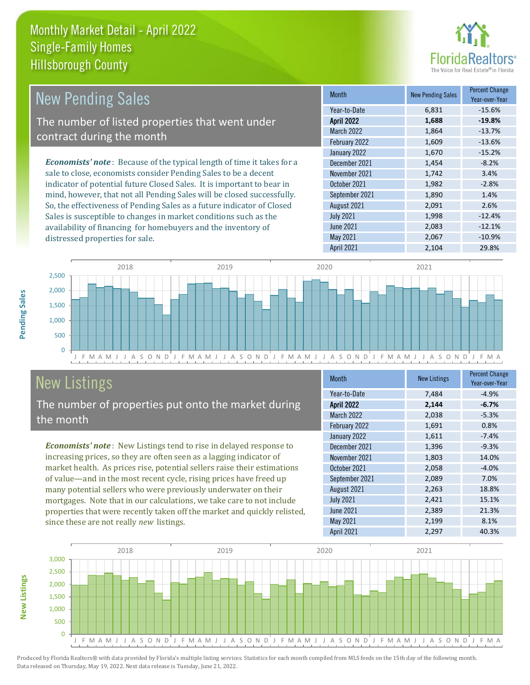

| <b>New Pending Sales</b>                                                      | <b>Month</b>      | <b>New Pending Sales</b> | <b>Percent Change</b><br>Year-over-Year |
|-------------------------------------------------------------------------------|-------------------|--------------------------|-----------------------------------------|
|                                                                               | Year-to-Date      | 6,831                    | $-15.6%$                                |
| The number of listed properties that went under                               | <b>April 2022</b> | 1,688                    | $-19.8%$                                |
| contract during the month                                                     | <b>March 2022</b> | 1,864                    | $-13.7%$                                |
|                                                                               | February 2022     | 1,609                    | $-13.6%$                                |
|                                                                               | January 2022      | 1,670                    | $-15.2%$                                |
| <b>Economists' note:</b> Because of the typical length of time it takes for a | December 2021     | 1,454                    | $-8.2%$                                 |
| sale to close, economists consider Pending Sales to be a decent               | November 2021     | 1,742                    | 3.4%                                    |
| indicator of potential future Closed Sales. It is important to bear in        | October 2021      | 1,982                    | $-2.8%$                                 |
| mind, however, that not all Pending Sales will be closed successfully.        | September 2021    | 1,890                    | 1.4%                                    |
| So, the effectiveness of Pending Sales as a future indicator of Closed        | August 2021       | 2,091                    | 2.6%                                    |
| Sales is susceptible to changes in market conditions such as the              | <b>July 2021</b>  | 1,998                    | $-12.4%$                                |

J F M A M J J A S O N D J F M A M J J A S O N D J F M A M J J A S O N D J F M A M J J A S O N D J F M A  $\overline{0}$ 500 1,000 1,500 2,000 2,500 2018 2019 2020 2021

## New Listings

**New Listings**

**Pending Sales**

Pending Sales

distressed properties for sale.

The number of properties put onto the market during the month

availability of financing for homebuyers and the inventory of

*Economists' note* : New Listings tend to rise in delayed response to increasing prices, so they are often seen as a lagging indicator of market health. As prices rise, potential sellers raise their estimations of value—and in the most recent cycle, rising prices have freed up many potential sellers who were previously underwater on their mortgages. Note that in our calculations, we take care to not include properties that were recently taken off the market and quickly relisted, since these are not really *new* listings.

| <b>Month</b>      | <b>New Listings</b> | <b>Percent Change</b><br>Year-over-Year |
|-------------------|---------------------|-----------------------------------------|
| Year-to-Date      | 7,484               | $-4.9%$                                 |
| <b>April 2022</b> | 2,144               | $-6.7%$                                 |
| March 2022        | 2,038               | $-5.3%$                                 |
| February 2022     | 1,691               | 0.8%                                    |
| January 2022      | 1,611               | $-7.4%$                                 |
| December 2021     | 1,396               | $-9.3%$                                 |
| November 2021     | 1,803               | 14.0%                                   |
| October 2021      | 2,058               | $-4.0%$                                 |
| September 2021    | 2,089               | 7.0%                                    |
| August 2021       | 2,263               | 18.8%                                   |
| <b>July 2021</b>  | 2,421               | 15.1%                                   |
| <b>June 2021</b>  | 2,389               | 21.3%                                   |
| May 2021          | 2,199               | 8.1%                                    |
| <b>April 2021</b> | 2,297               | 40.3%                                   |

April 2021 2,104 2,104 29.8%

June 2021 2,083 -12.1% May 2021 2,067 -10.9%

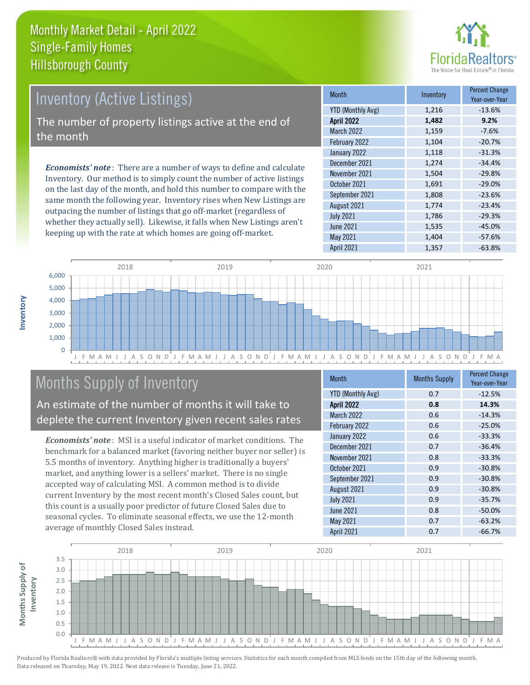

## Inventory (Active Listings) The number of property listings active at the end of the month

*Economists' note* : There are a number of ways to define and calculate Inventory. Our method is to simply count the number of active listings on the last day of the month, and hold this number to compare with the same month the following year. Inventory rises when New Listings are outpacing the number of listings that go off-market (regardless of whether they actually sell). Likewise, it falls when New Listings aren't keeping up with the rate at which homes are going off-market.

| <b>Month</b>             | Inventory | <b>Percent Change</b><br>Year-over-Year |
|--------------------------|-----------|-----------------------------------------|
| <b>YTD (Monthly Avg)</b> | 1,216     | $-13.6%$                                |
| <b>April 2022</b>        | 1,482     | 9.2%                                    |
| <b>March 2022</b>        | 1,159     | $-7.6%$                                 |
| February 2022            | 1,104     | $-20.7%$                                |
| January 2022             | 1,118     | $-31.3%$                                |
| December 2021            | 1,274     | $-34.4%$                                |
| November 2021            | 1,504     | $-29.8%$                                |
| October 2021             | 1,691     | $-29.0%$                                |
| September 2021           | 1,808     | $-23.6%$                                |
| August 2021              | 1,774     | $-23.4%$                                |
| <b>July 2021</b>         | 1,786     | $-29.3%$                                |
| <b>June 2021</b>         | 1,535     | $-45.0%$                                |
| May 2021                 | 1,404     | $-57.6%$                                |
| April 2021               | 1,357     | $-63.8%$                                |



### Months Supply of Inventory

An estimate of the number of months it will take to deplete the current Inventory given recent sales rates

*Economists' note* : MSI is a useful indicator of market conditions. The benchmark for a balanced market (favoring neither buyer nor seller) is 5.5 months of inventory. Anything higher is traditionally a buyers' market, and anything lower is a sellers' market. There is no single accepted way of calculating MSI. A common method is to divide current Inventory by the most recent month's Closed Sales count, but this count is a usually poor predictor of future Closed Sales due to seasonal cycles. To eliminate seasonal effects, we use the 12-month average of monthly Closed Sales instead.

| <b>Month</b>             | <b>Months Supply</b> | <b>Percent Change</b><br>Year-over-Year |
|--------------------------|----------------------|-----------------------------------------|
| <b>YTD (Monthly Avg)</b> | 0.7                  | $-12.5%$                                |
| <b>April 2022</b>        | 0.8                  | 14.3%                                   |
| <b>March 2022</b>        | 0.6                  | $-14.3%$                                |
| February 2022            | 0.6                  | $-25.0%$                                |
| January 2022             | 0.6                  | $-33.3%$                                |
| December 2021            | 0.7                  | $-36.4%$                                |
| November 2021            | 0.8                  | $-33.3%$                                |
| October 2021             | 0.9                  | $-30.8%$                                |
| September 2021           | 0.9                  | $-30.8%$                                |
| August 2021              | 0.9                  | $-30.8%$                                |
| <b>July 2021</b>         | 0.9                  | $-35.7%$                                |
| <b>June 2021</b>         | 0.8                  | $-50.0%$                                |
| May 2021                 | 0.7                  | $-63.2%$                                |
| <b>April 2021</b>        | 0.7                  | $-66.7%$                                |

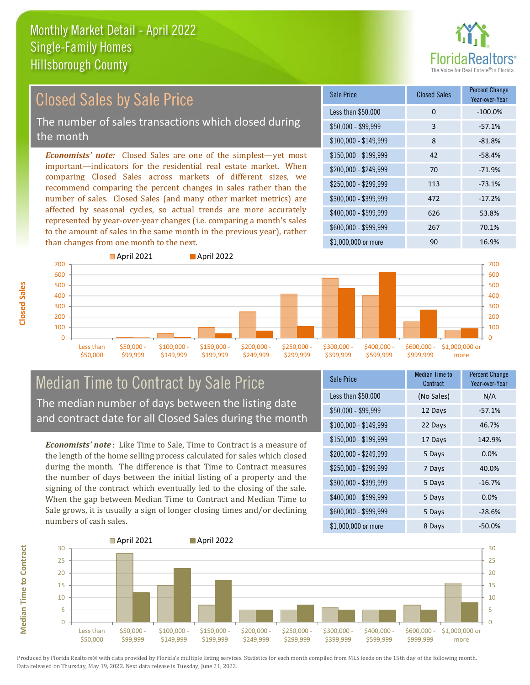

#### \$100,000 - \$149,999 8 -81.8% Sale Price Closed Sales Percent Change Year-over-Year Less than \$50,000 0 0 -100.0%  $$50,000 - $99,999$  3 -57.1% \$150,000 - \$199,999 42 -58.4% \$200,000 - \$249,999 70 -71.9% \$400,000 - \$599,999 626 53.8% \$600,000 - \$999,999 267 70.1% *Economists' note:* Closed Sales are one of the simplest—yet most important—indicators for the residential real estate market. When comparing Closed Sales across markets of different sizes, we recommend comparing the percent changes in sales rather than the number of sales. Closed Sales (and many other market metrics) are affected by seasonal cycles, so actual trends are more accurately represented by year-over-year changes (i.e. comparing a month's sales to the amount of sales in the same month in the previous year), rather than changes from one month to the next. \$1,000,000 or more 90 90 16.9% \$250,000 - \$299,999 113 -73.1% \$300,000 - \$399,999 472 -17.2% Closed Sales by Sale Price The number of sales transactions which closed during the month



#### Median Time to Contract by Sale Price The median number of days between the listing date and contract date for all Closed Sales during the month

*Economists' note* : Like Time to Sale, Time to Contract is a measure of the length of the home selling process calculated for sales which closed during the month. The difference is that Time to Contract measures the number of days between the initial listing of a property and the signing of the contract which eventually led to the closing of the sale. When the gap between Median Time to Contract and Median Time to Sale grows, it is usually a sign of longer closing times and/or declining numbers of cash sales.

| <b>Sale Price</b>     | Median Time to<br>Contract | <b>Percent Change</b><br>Year-over-Year |
|-----------------------|----------------------------|-----------------------------------------|
| Less than \$50,000    | (No Sales)                 | N/A                                     |
| $$50,000 - $99,999$   | 12 Days                    | $-57.1%$                                |
| $$100,000 - $149,999$ | 22 Days                    | 46.7%                                   |
| $$150,000 - $199,999$ | 17 Days                    | 142.9%                                  |
| \$200,000 - \$249,999 | 5 Days                     | 0.0%                                    |
| \$250,000 - \$299,999 | 7 Days                     | 40.0%                                   |
| \$300,000 - \$399,999 | 5 Days                     | $-16.7%$                                |
| \$400,000 - \$599,999 | 5 Days                     | 0.0%                                    |
| \$600,000 - \$999,999 | 5 Days                     | $-28.6%$                                |
| \$1,000,000 or more   | 8 Days                     | $-50.0%$                                |



**Closed Sales**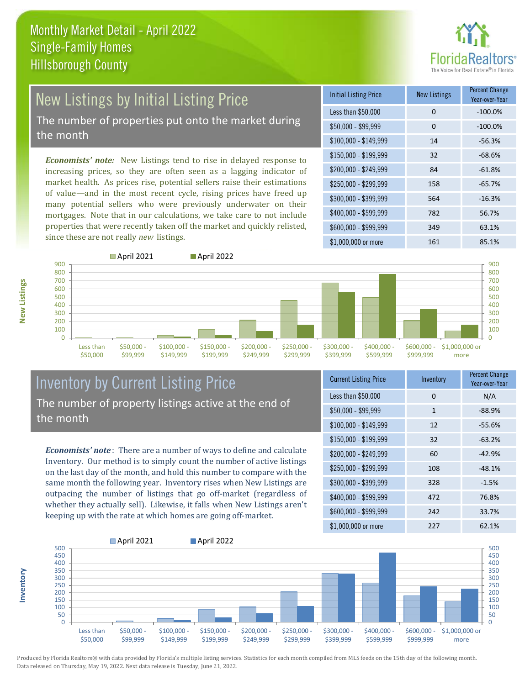

# New Listings by Initial Listing Price

The number of properties put onto the market during the month

*Economists' note:* New Listings tend to rise in delayed response to increasing prices, so they are often seen as a lagging indicator of market health. As prices rise, potential sellers raise their estimations of value—and in the most recent cycle, rising prices have freed up many potential sellers who were previously underwater on their mortgages. Note that in our calculations, we take care to not include properties that were recently taken off the market and quickly relisted, since these are not really *new* listings.

| <b>Initial Listing Price</b> | <b>New Listings</b> | <b>Percent Change</b><br>Year-over-Year |
|------------------------------|---------------------|-----------------------------------------|
| Less than \$50,000           | $\Omega$            | $-100.0%$                               |
| $$50,000 - $99,999$          | 0                   | $-100.0%$                               |
| $$100,000 - $149,999$        | 14                  | $-56.3%$                                |
| $$150,000 - $199,999$        | 32                  | $-68.6%$                                |
| \$200,000 - \$249,999        | 84                  | $-61.8%$                                |
| \$250,000 - \$299,999        | 158                 | $-65.7%$                                |
| \$300,000 - \$399,999        | 564                 | $-16.3%$                                |
| \$400,000 - \$599,999        | 782                 | 56.7%                                   |
| \$600,000 - \$999,999        | 349                 | 63.1%                                   |
| $$1,000,000$ or more         | 161                 | 85.1%                                   |



**Inventory**



#### Inventory by Current Listing Price The number of property listings active at the end of the month

*Economists' note* : There are a number of ways to define and calculate Inventory. Our method is to simply count the number of active listings on the last day of the month, and hold this number to compare with the same month the following year. Inventory rises when New Listings are outpacing the number of listings that go off-market (regardless of whether they actually sell). Likewise, it falls when New Listings aren't keeping up with the rate at which homes are going off-market.

| <b>Current Listing Price</b> | Inventory    | <b>Percent Change</b><br>Year-over-Year |
|------------------------------|--------------|-----------------------------------------|
| Less than \$50,000           | $\Omega$     | N/A                                     |
| $$50,000 - $99,999$          | $\mathbf{1}$ | $-88.9%$                                |
| $$100,000 - $149,999$        | 12           | $-55.6%$                                |
| \$150,000 - \$199,999        | 32           | $-63.2%$                                |
| \$200,000 - \$249,999        | 60           | $-42.9%$                                |
| \$250,000 - \$299,999        | 108          | $-48.1%$                                |
| \$300,000 - \$399,999        | 328          | $-1.5%$                                 |
| \$400,000 - \$599,999        | 472          | 76.8%                                   |
| \$600,000 - \$999,999        | 242          | 33.7%                                   |
| \$1,000,000 or more          | 227          | 62.1%                                   |